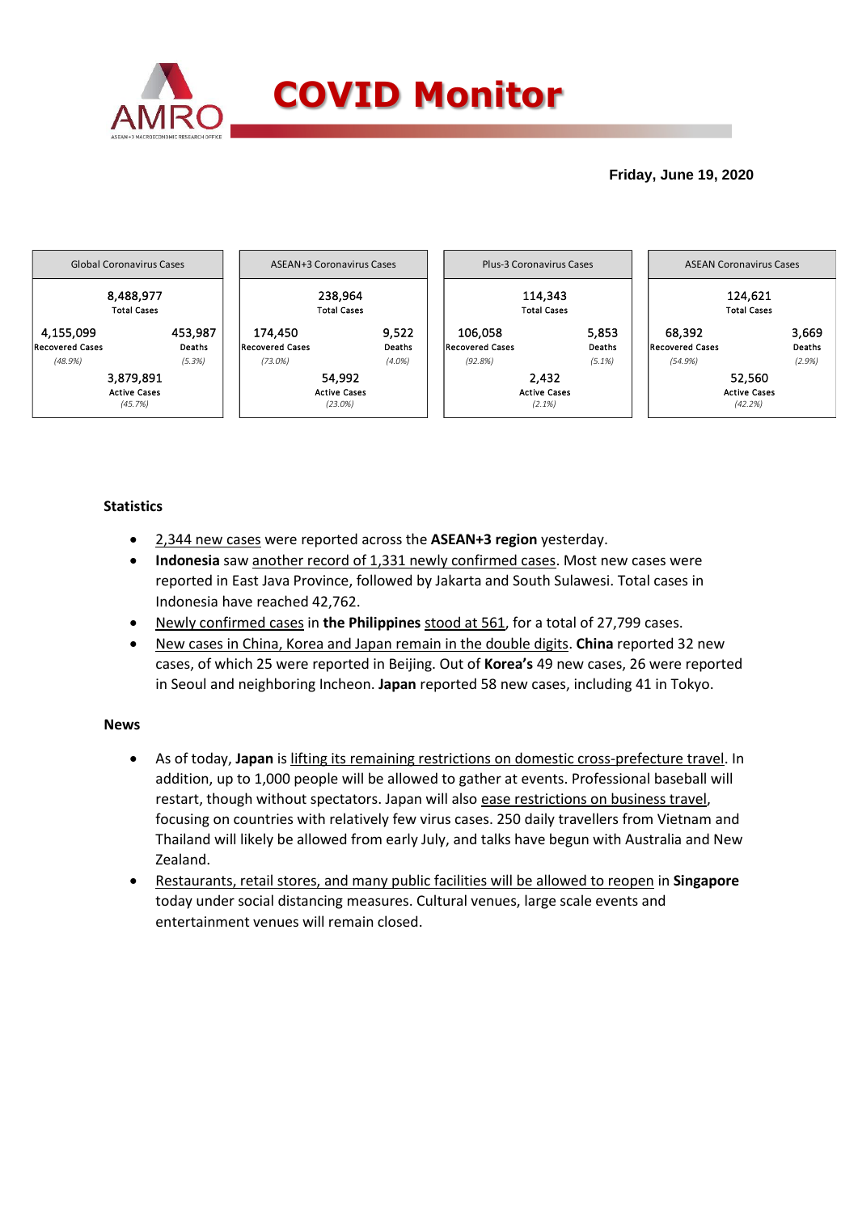

# **Friday, June 19, 2020**



# **Statistics**

- 2,344 new cases were reported across the **ASEAN+3 region** yesterday.
- **Indonesia** saw another record of 1,331 newly confirmed cases. Most new cases were reported in East Java Province, followed by Jakarta and South Sulawesi. Total cases in Indonesia have reached 42,762.
- Newly confirmed cases in **the Philippines** stood at 561, for a total of 27,799 cases.
- New cases in China, Korea and Japan remain in the double digits. **China** reported 32 new cases, of which 25 were reported in Beijing. Out of **Korea's** 49 new cases, 26 were reported in Seoul and neighboring Incheon. **Japan** reported 58 new cases, including 41 in Tokyo.

### **News**

- As of today, **Japan** is lifting its remaining restrictions on domestic cross-prefecture travel. In addition, up to 1,000 people will be allowed to gather at events. Professional baseball will restart, though without spectators. Japan will also ease restrictions on business travel, focusing on countries with relatively few virus cases. 250 daily travellers from Vietnam and Thailand will likely be allowed from early July, and talks have begun with Australia and New Zealand.
- Restaurants, retail stores, and many public facilities will be allowed to reopen in **Singapore** today under social distancing measures. Cultural venues, large scale events and entertainment venues will remain closed.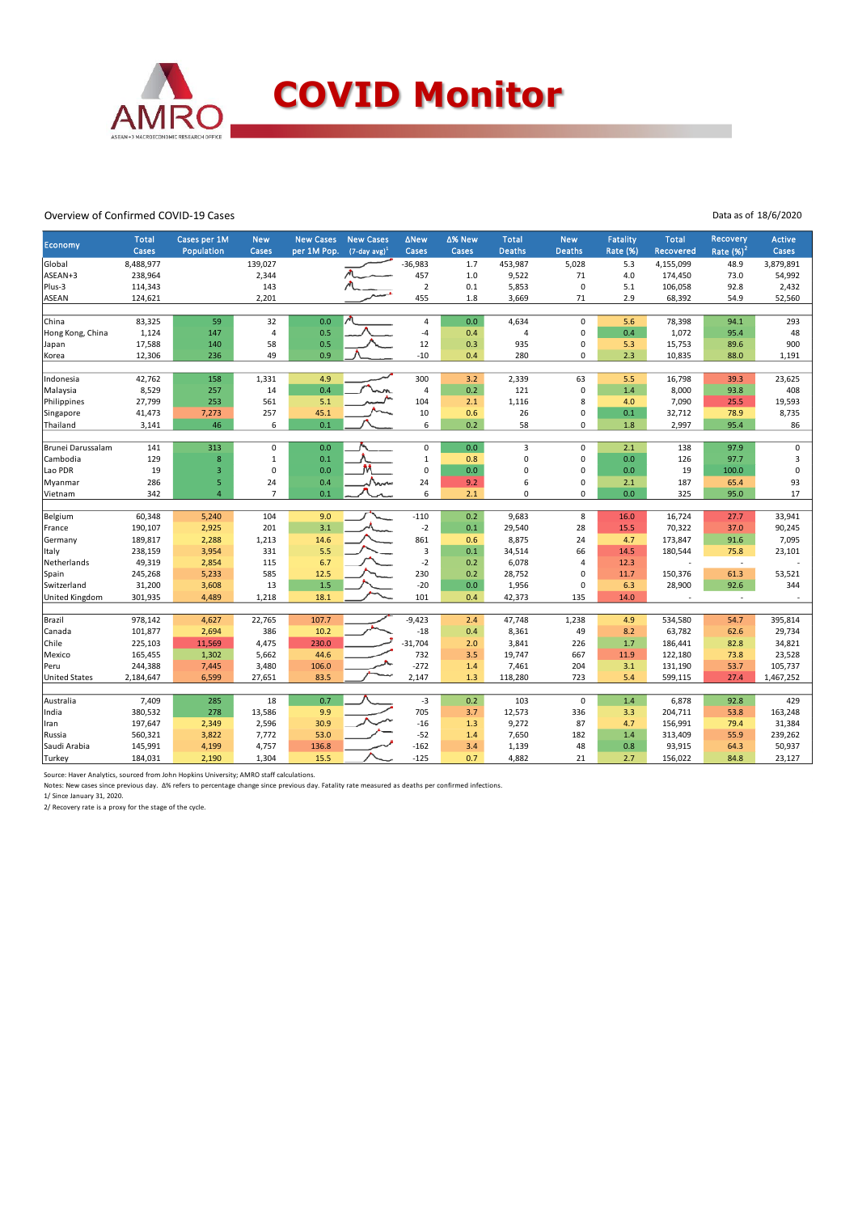

#### Overview of Confirmed COVID-19 Cases

Data as of 18/6/2020

| <b>Economy</b>        | <b>Total</b><br>Cases | Cases per 1M<br>Population | <b>New</b><br>Cases     | <b>New Cases</b><br>per 1M Pop. | <b>New Cases</b><br>$(7$ -day avg) <sup>1</sup> | <b>ANew</b><br>Cases    | ∆% New<br>Cases | <b>Total</b><br><b>Deaths</b> | <b>New</b><br><b>Deaths</b> | Fatality<br>Rate (%) | <b>Total</b><br><b>Recovered</b> | Recovery<br>Rate $(%)2$  | <b>Active</b><br>Cases |
|-----------------------|-----------------------|----------------------------|-------------------------|---------------------------------|-------------------------------------------------|-------------------------|-----------------|-------------------------------|-----------------------------|----------------------|----------------------------------|--------------------------|------------------------|
| Global                | 8,488,977             |                            | 139,027                 |                                 |                                                 | $-36,983$               | 1.7             | 453,987                       | 5,028                       | 5.3                  | 4,155,099                        | 48.9                     | 3,879,891              |
| ASEAN+3               | 238,964               |                            | 2,344                   |                                 |                                                 | 457                     | 1.0             | 9,522                         | 71                          | 4.0                  | 174,450                          | 73.0                     | 54,992                 |
| Plus-3                | 114,343               |                            | 143                     |                                 |                                                 | $\overline{2}$          | 0.1             | 5,853                         | 0                           | 5.1                  | 106,058                          | 92.8                     | 2,432                  |
| <b>ASEAN</b>          | 124,621               |                            | 2,201                   |                                 |                                                 | 455                     | 1.8             | 3,669                         | 71                          | 2.9                  | 68,392                           | 54.9                     | 52,560                 |
|                       |                       |                            |                         |                                 |                                                 |                         |                 |                               |                             |                      |                                  |                          |                        |
| China                 | 83,325                | 59                         | 32                      | 0.0                             |                                                 | $\overline{4}$          | 0.0             | 4,634                         | $\pmb{0}$                   | 5.6                  | 78,398                           | 94.1                     | 293                    |
| Hong Kong, China      | 1,124                 | 147                        | $\overline{\mathbf{4}}$ | 0.5                             |                                                 | $-4$                    | 0.4             | $\overline{4}$                | $\mathbf 0$                 | 0.4                  | 1,072                            | 95.4                     | 48                     |
| Japan                 | 17,588                | 140                        | 58                      | 0.5                             |                                                 | 12                      | 0.3             | 935                           | $\mathbf 0$                 | 5.3                  | 15,753                           | 89.6                     | 900                    |
| Korea                 | 12,306                | 236                        | 49                      | 0.9                             |                                                 | $-10$                   | 0.4             | 280                           | $\mathbf 0$                 | 2.3                  | 10,835                           | 88.0                     | 1,191                  |
|                       |                       |                            |                         |                                 |                                                 |                         |                 |                               |                             |                      |                                  |                          |                        |
| Indonesia             | 42,762                | 158                        | 1,331                   | 4.9                             |                                                 | 300                     | 3.2             | 2,339                         | 63                          | 5.5                  | 16,798                           | 39.3                     | 23,625                 |
| Malaysia              | 8,529                 | 257                        | 14                      | 0.4                             |                                                 | $\overline{4}$          | 0.2             | 121                           | $\mathbf 0$                 | 1.4                  | 8,000                            | 93.8                     | 408                    |
| Philippines           | 27,799                | 253                        | 561                     | 5.1                             |                                                 | 104                     | 2.1             | 1,116                         | 8                           | 4.0                  | 7,090                            | 25.5                     | 19,593                 |
| Singapore             | 41,473                | 7,273                      | 257                     | 45.1                            |                                                 | 10                      | 0.6             | 26                            | $\mathbf 0$                 | 0.1                  | 32,712                           | 78.9                     | 8,735                  |
| Thailand              | 3,141                 | 46                         | 6                       | 0.1                             |                                                 | 6                       | 0.2             | 58                            | $\mathbf 0$                 | 1.8                  | 2,997                            | 95.4                     | 86                     |
|                       |                       |                            |                         |                                 |                                                 |                         |                 |                               |                             |                      |                                  |                          |                        |
| Brunei Darussalam     | 141                   | 313                        | $\mathbf 0$             | 0.0                             |                                                 | $\mathbf 0$             | 0.0             | 3                             | $\mathbf 0$                 | 2.1                  | 138                              | 97.9                     | 0                      |
| Cambodia              | 129                   | 8                          | $\,1\,$                 | 0.1                             |                                                 | $\mathbf{1}$            | 0.8             | $\mathbf 0$                   | $\mathbf 0$                 | 0.0                  | 126                              | 97.7                     | 3                      |
| Lao PDR               | 19                    | 3                          | $\mathbf 0$             | 0.0                             |                                                 | $\mathsf 0$             | 0.0             | $\mathbf 0$                   | $\mathbf 0$                 | 0.0                  | 19                               | 100.0                    | $\pmb{0}$              |
| Myanmar               | 286                   | 5                          | 24                      | 0.4                             | Navn                                            | 24                      | 9.2             | 6                             | $\mathbf 0$                 | 2.1                  | 187                              | 65.4                     | 93                     |
| Vietnam               | 342                   | $\overline{a}$             | $\overline{7}$          | 0.1                             |                                                 | 6                       | 2.1             | $\mathbf 0$                   | $\mathbf 0$                 | 0.0                  | 325                              | 95.0                     | 17                     |
| Belgium               | 60,348                | 5,240                      | 104                     | 9.0                             |                                                 | $-110$                  | 0.2             | 9,683                         | 8                           | 16.0                 | 16,724                           | 27.7                     | 33,941                 |
| France                | 190,107               | 2,925                      | 201                     | 3.1                             |                                                 | $-2$                    | 0.1             | 29,540                        | 28                          | 15.5                 | 70,322                           | 37.0                     | 90,245                 |
| Germany               | 189,817               | 2,288                      | 1,213                   | 14.6                            |                                                 | 861                     | 0.6             | 8,875                         | 24                          | 4.7                  | 173,847                          | 91.6                     | 7,095                  |
| Italy                 | 238,159               | 3,954                      | 331                     | 5.5                             |                                                 | $\overline{\mathbf{3}}$ | 0.1             | 34,514                        | 66                          | 14.5                 | 180,544                          | 75.8                     | 23,101                 |
| Netherlands           | 49,319                | 2,854                      | 115                     | 6.7                             |                                                 | $-2$                    | 0.2             | 6,078                         | $\overline{4}$              | 12.3                 |                                  | $\overline{\phantom{a}}$ |                        |
| Spain                 | 245,268               | 5,233                      | 585                     | 12.5                            |                                                 | 230                     | 0.2             | 28,752                        | $\mathbf 0$                 | 11.7                 | 150,376                          | 61.3                     | 53,521                 |
| Switzerland           | 31,200                | 3,608                      | 13                      | 1.5                             |                                                 | $-20$                   | 0.0             | 1,956                         | $\mathbf 0$                 | 6.3                  | 28,900                           | 92.6                     | 344                    |
| <b>United Kingdom</b> | 301,935               | 4,489                      | 1,218                   | 18.1                            |                                                 | 101                     | 0.4             | 42,373                        | 135                         | 14.0                 |                                  | $\overline{\phantom{a}}$ |                        |
|                       |                       |                            |                         |                                 |                                                 |                         |                 |                               |                             |                      |                                  |                          |                        |
| Brazil                | 978,142               | 4,627                      | 22,765                  | 107.7                           |                                                 | $-9,423$                | 2.4             | 47,748                        | 1,238                       | 4.9                  | 534,580                          | 54.7                     | 395,814                |
| Canada                | 101,877               | 2,694                      | 386                     | 10.2                            |                                                 | $-18$                   | 0.4             | 8,361                         | 49                          | 8.2                  | 63,782                           | 62.6                     | 29,734                 |
| Chile                 | 225,103               | 11,569                     | 4,475                   | 230.0                           |                                                 | $-31,704$               | 2.0             | 3,841                         | 226                         | 1.7                  | 186,441                          | 82.8                     | 34,821                 |
| Mexico                | 165,455               | 1,302                      | 5,662                   | 44.6                            |                                                 | 732                     | 3.5             | 19,747                        | 667                         | 11.9                 | 122,180                          | 73.8                     | 23,528                 |
| Peru                  | 244,388               | 7,445                      | 3,480                   | 106.0                           |                                                 | $-272$                  | 1.4             | 7,461                         | 204                         | 3.1                  | 131,190                          | 53.7                     | 105,737                |
| <b>United States</b>  | 2,184,647             | 6,599                      | 27,651                  | 83.5                            |                                                 | 2,147                   | 1.3             | 118,280                       | 723                         | 5.4                  | 599,115                          | 27.4                     | 1,467,252              |
|                       |                       |                            |                         |                                 |                                                 |                         |                 |                               |                             |                      |                                  |                          |                        |
| Australia             | 7,409                 | 285                        | 18                      | 0.7                             |                                                 | $-3$                    | 0.2             | 103                           | $\mathbf 0$                 | 1.4                  | 6,878                            | 92.8                     | 429                    |
| India                 | 380,532               | 278                        | 13,586                  | 9.9                             |                                                 | 705                     | 3.7             | 12,573                        | 336                         | 3.3                  | 204,711                          | 53.8                     | 163,248                |
| Iran                  | 197,647               | 2,349                      | 2,596                   | 30.9                            |                                                 | $-16$                   | 1.3             | 9,272                         | 87                          | 4.7                  | 156,991                          | 79.4                     | 31,384                 |
| Russia                | 560,321               | 3,822                      | 7,772                   | 53.0                            |                                                 | $-52$                   | 1.4             | 7,650                         | 182                         | 1.4                  | 313,409                          | 55.9                     | 239,262                |
| Saudi Arabia          | 145,991               | 4,199                      | 4,757                   | 136.8                           |                                                 | $-162$                  | 3.4             | 1,139                         | 48                          | 0.8                  | 93,915                           | 64.3                     | 50,937                 |
| Turkey                | 184,031               | 2,190                      | 1,304                   | 15.5                            |                                                 | $-125$                  | 0.7             | 4,882                         | 21                          | 2.7                  | 156,022                          | 84.8                     | 23,127                 |

Source: Haver Analytics, sourced from John Hopkins University; AMRO staff calculations.

Notes: New cases since previous day. Δ% refers to percentage change since previous day. Fatality rate measured as deaths per confirmed infections.<br>1/ Since January 31, 2020.<br>2/ Recovery rate is a proxy for the stage of the